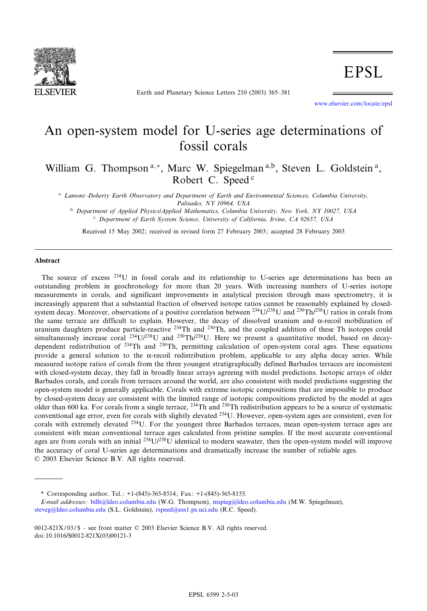

Earth and Planetary Science Letters 210 (2003) 365-381

www.elsevier.com/locate/epsl

# An open-system model for U-series age determinations of fossil corals

William G. Thompson<sup>a,\*</sup>, Marc W. Spiegelman<sup>a,b</sup>, Steven L. Goldstein<sup>a</sup>, Robert C. Speed<sup>c</sup>

<sup>a</sup> Lamont-Doherty Earth Observatory and Department of Earth and Environmental Sciences, Columbia University, Palisades, NY 10964, USA

<sup>b</sup> Department of Applied Physics/Applied Mathematics, Columbia University, New York, NY 10027, USA <sup>c</sup> Department of Earth System Science, University of California, Irvine, CA 92657, USA

Received 15 May 2002; received in revised form 27 February 2003; accepted 28 February 2003

#### Abstract

The source of excess 234U in fossil corals and its relationship to U-series age determinations has been an outstanding problem in geochronology for more than 20 years. With increasing numbers of U-series isotope measurements in corals, and significant improvements in analytical precision through mass spectrometry, it is increasingly apparent that a substantial fraction of observed isotope ratios cannot be reasonably explained by closedsystem decay. Moreover, observations of a positive correlation between  $^{234}U/^{238}U$  and  $^{230}Th/^{238}U$  ratios in corals from the same terrace are difficult to explain. However, the decay of dissolved uranium and  $\alpha$ -recoil mobilization of uranium daughters produce particle-reactive  $^{234}$ Th and  $^{230}$ Th, and the coupled addition of these Th isotopes could simultaneously increase coral  $^{234}U/^{238}U$  and  $^{230}Th/^{238}U$ . Here we present a quantitative model, based on decaydependent redistribution of 234Th and 230Th, permitting calculation of open-system coral ages. These equations provide a general solution to the  $\alpha$ -recoil redistribution problem, applicable to any alpha decay series. While measured isotope ratios of corals from the three youngest stratigraphically defined Barbados terraces are inconsistent with closed-system decay, they fall in broadly linear arrays agreeing with model predictions. Isotopic arrays of older Barbados corals, and corals from terraces around the world, are also consistent with model predictions suggesting the open-system model is generally applicable. Corals with extreme isotopic compositions that are impossible to produce by closed-system decay are consistent with the limited range of isotopic compositions predicted by the model at ages older than 600 ka. For corals from a single terrace, <sup>234</sup>Th and <sup>230</sup>Th redistribution appears to be a source of systematic conventional age error, even for corals with slightly elevated <sup>234</sup>U. However, open-system ages are consistent, even for corals with extremely elevated <sup>234</sup>U. For the youngest three Barbados terraces, mean open-system terrace ages are consistent with mean conventional terrace ages calculated from pristine samples. If the most accurate conventional ages are from corals with an initial  $^{234}U/^{238}U$  identical to modern seawater, then the open-system model will improve the accuracy of coral U-series age determinations and dramatically increase the number of reliable ages. 6 2003 Elsevier Science B.V. All rights reserved.

[\\* Corresponding author](mailto:steveg@ldeo.columbia.edu). Tel.: +1-(845)-3[65-8514; Fax: +1-\(845\)](mailto:rspeed@ess1.ps.uci.edu)-365-8155.

E-mail addresses: billt@ldeo.columbia.edu (W.G. Thompson), mspieg@ldeo.columbia.edu (M.W. Spiegelman), steveg@ldeo.columbia.edu (S.L. Goldstein), rspeed@ess1.ps.uci.edu (R.C. Speed).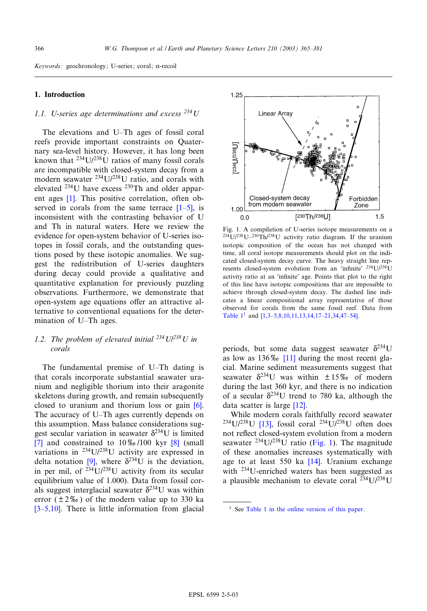# <span id="page-1-0"></span>1. Introduction

# 1.1. U-series age determinations and excess  $^{234}$ U

The elevations and U-Th ages of fossil coral reefs provide important constraints on Quaternary sea-level history. However, it has long been known that  $^{234}U/^{238}U$  ratios of many fossil corals are incompatible with closed-system decay from a modern s[eaw](#page-14-0)ater  $^{234}U/^{238}U$  ratio, and corals with elevated  $^{234}$ U have excess  $^{230}$ Th and olde[r app](#page-14-0)arent ages [1]. This positive correlation, often observed in corals from the same terrace  $[1-5]$ , is inconsistent with the contrasting behavior of U and Th in natural waters. Here we review the evidence for open-system behavior of U-series isotopes in fossil corals, and the outstanding questions posed by these isotopic anomalies. We suggest the redistribution of U-series daughters during decay could provide a qualitative and quantitative explanation for previously puzzling observations. Furthermore, we demonstrate that open-system age equations offer an attractive alternative to conventional equations for the determination of U-Th ages.

# 1.2. The problem of elevated initial  $^{234}U^{238}U$  in corals

The fundamental premise of U-Th dating is that corals incorporate substantial seawater uranium and negligible thorium into their arago[nite](#page-14-0) skeletons during growth, and remain subsequently closed to uranium and thorium loss or gain [6]. The accuracy of U–Th ages currently depends on [thi](#page-14-0)s assumption. Mass balance consider[atio](#page-14-0)ns suggest secular variation in seawater  $\delta^{234}$ U is limited [7] and constr[aine](#page-14-0)d to  $10\%$ /100 kyr [8] (small variations in 234U/238U activity are expressed in delta notation [9], where  $\delta^{234}U$  is the deviation, in per mil, of  $234$ U/ $238$ U activity from its secular equilibrium value of 1.000). Data from fossil cor[als sugg](#page-14-0)est interglacial seawater  $\delta^{234}U$  was within error  $(\pm 2\% \text{)}$  of the modern value up to 330 ka  $[3-5,10]$ . There is little information from glacial



Fig. 1. A compilation of U-series isotope measurements on a  $^{234}U/^{238}U^{-230}Th/^{238}U$  activity ratio diagram. If the uranium isotopic composition of the ocean has not changed with time, all coral isotope measurements should plot on the indicated closed-system decay curve. The heavy straight line represents closed-system evolution from an 'infinite' <sup>234</sup>U/<sup>238</sup>U activity ratio at an 'infinite' age. Points that plot to the right of this line have isotopic compositions that are impossible to achieve through closed-system decay. The dashed line indicates a linea[r compositional array representati](#page-14-0)ve of those observed for corals from the same fossil reef. Data from Table  $1^1$  and  $[1,3-5,8,10,11,13,14,17-21,34,47-54]$ .

periods, but so[me](#page-14-0) [d](#page-14-0)ata suggest seawater  $\delta^{234}U$ as low as  $136\%$  [11] during the most recent glacial. Marine sediment measurements suggest that seawater  $\delta^{234}$ U was within  $\pm 15\%$  of modern during the last 360 k[yr, a](#page-14-0)nd there is no indication of a secular  $\delta^{234}$ U trend to 780 ka, although the data scatt[er is](#page-14-0) large [12].

While modern corals faithfully record seawater  $234$ U/ $238$ U [13], fossil coral  $234$ U/ $238$ U often does not reflect closed-system evolution from a modern seawater  $^{234}$ U/ $^{238}$ U ratio [\(Fig](#page-14-0). 1). The magnitude of these anomalies increases systematically with age to at least 550 ka [14]. Uranium exchange with <sup>234</sup>U-enriched waters has been suggested as a plausible mechanism to elevate coral  $^{234}U/^{238}U$ 

<sup>&</sup>lt;sup>1</sup> See Table 1 in the online version of this paper.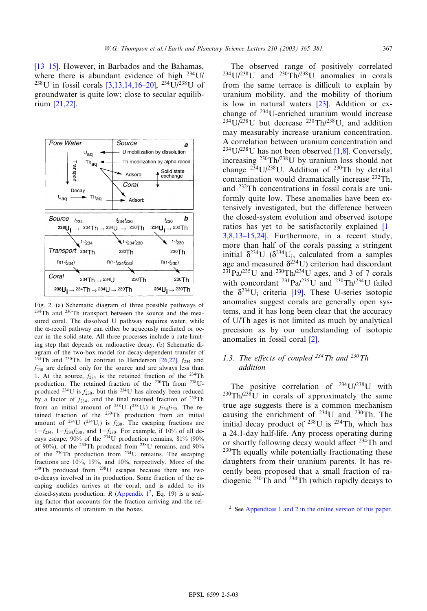<span id="page-2-0"></span> $[13-15]$ . However, in [Barbados and](#page-14-0) the Bahamas, where there is abundant evidence of high  $^{234}$ U/ <sup>238</sup>U [in foss](#page-15-0)il corals  $[3,13,14,16-20]$ , <sup>234</sup>U/<sup>238</sup>U of groundwater is quite low; close to secular equilibrium [21,22].



Fig. 2. (a) Schematic diagram of three possible pathways of 234Th and 230Th transport between the source and the measured coral. The dissolved U pathway requires water, while the  $\alpha$ -recoil pathway can either be aqueously mediated or occur in the solid state. All three processes include a rate-limiting step that depends on radioactive decay. ([b\) Sche](#page-15-0)matic diagram of the two-box model for decay-dependent transfer of <sup>234</sup>Th and <sup>230</sup>Th. In contrast to Henderson [26,27],  $f_{234}$  and  $f_{230}$  are defined only for the source and are always less than 1. At the source,  $f_{234}$  is the retained fraction of the <sup>234</sup>Th production. The retained fraction of the 230Th from 238Uproduced <sup>234</sup>U is  $f_{230}$ , but this <sup>234</sup>U has already been reduced by a factor of  $f_{234}$ , and the final retained fraction of  $^{230}$ Th from an initial amount of <sup>238</sup>U (<sup>238</sup>U<sub>i</sub>) is  $f_{234}f_{230}$ . The retained fraction of the 230Th production from an initial amount of <sup>234</sup>U (<sup>234</sup>U<sub>i</sub>) is  $f_{230}$ . The escaping fractions are  $1-f_{234}$ ,  $1-f_{234}f_{230}$ , and  $1-f_{230}$ . For example, if 10% of all decays escape,  $90\%$  of the  $^{234}$ U production remains,  $81\%$  (90%) of 90%), of the <sup>230</sup>Th produced from <sup>238</sup>U remains, and 90% of the <sup>230</sup>Th production from <sup>234</sup>U remains. The escaping fractions are 10%, 19%, and 10%, respectively. More of the 230Th produced from 238U escapes because there are two  $\alpha$ -decays involved in its production. Some fraction of the escaping nuclides arrives at the coral, and is added to its closed-system production. R (Appendix  $1^2$ , Eq. 19) is a scaling factor that accounts for the fraction arriving and the relative amounts of uranium in the boxes. <sup>2</sup> See Appendices 1 and 2 in the online version of this paper.

The observed range of positively correlated  $^{234}U/^{238}U$  and  $^{230}Th/^{238}U$  anomalies in corals from the same terrace is difficult to explain by uranium mobility, and the mobility of thorium is low in natural waters [23]. Addition or exchange of 234U-enriched uranium would increase  $^{234}U/^{238}U$  but decrease  $^{230}Th/^{238}U$ , and addition may measurably increase uraniu[m co](#page-14-0)ncentration. A correlation between uranium concentration and <sup>234</sup>U/<sup>238</sup>U has not been observed [1,8]. Conversely, increasing  $^{230}$ Th/ $^{238}$ U by uranium loss should not change  $2^{34}U/2^{38}U$ . Addition of  $2^{30}Th$  by detrital contamination would dramatically increase 232Th, and 232Th concentrations in fossil corals are uniformly quite low. These anomalies have been extensively investigated, but the difference betw[een](#page-14-0) [the closed-sys](#page-14-0)tem evolution and observed isotope ratios has yet to be satisfactorily explained [1^  $3,8,13-15,24$ ]. Furthermore, in a recent study, more than half of the corals passing a stringent initial  $\delta^{234}U$  ( $\delta^{234}U_i$ , calculated from a samples age and measured  $\delta^{234}$ U) criterion had discordant  $^{231}Pa/^{235}U$  and  $^{230}Th/^{234}U$  ages, and 3 of 7 corals with concordant  $^{231}Pa/^{235}U$  and  $^{230}Th/^{234}U$  failed the  $\delta^{234}U_i$  criteria [19]. These U-series isotopic anomalies suggest corals are generally open systems, and it has long been clear that the accuracy of U/Th ages is not limit[ed](#page-14-0) as much by analytical precision as by our understanding of isotopic anomalies in fossil coral [2].

# 1.3. The effects of coupled  $^{234}Th$  and  $^{230}Th$ addition

The positive correlation of  $^{234}U/^{238}U$  with  $230 \text{Th}/238 \text{U}$  in corals of approximately the same true age suggests there is a common mechanism causing the enrichment of  $^{234}$ U and  $^{230}$ Th. The initial decay product of  $238$ U is  $234$ Th, which has a 24.1-day half-life. Any process operating during or shortly following decay would affect  $234$ Th and  $230$ Th equally while potentially fractionating these daughters from their uranium parents. It has recently been proposed that a small fraction of radiogenic 230Th and 234Th (which rapidly decays to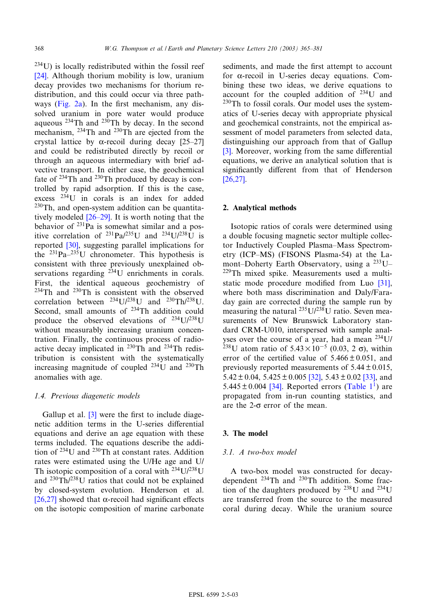$234$ U) is locally redistributed within the fossil reef [24]. Although thorium mobility is low, uranium decay [provide](#page-2-0)s two mechanisms for thorium redistribution, and this could occur via three pathways (Fig.  $2a$ ). In the first mechanism, any dissolved uranium in pore water would produce aqueous  $^{234}$ Th and  $^{230}$ Th by decay. In the [second](#page-15-0) mechanism, <sup>234</sup>Th and <sup>230</sup>Th are ejected from the crystal lattice by  $\alpha$ -recoil during decay [25–27] and could be redistributed directly by recoil or through an aqueous intermediary with brief advective transport. In either case, the geochemical fate of  $234$ Th and  $230$ Th produced by decay is controlled by rapid adsorption. If this is the case, excess 234U i[n coral](#page-15-0)s is an index for added 230Th, and open-system addition can be quantitatively modeled  $[26-29]$ . It is worth noting that the behavior [of](#page-15-0) <sup>231</sup>Pa is somewhat similar and a positive correlation of  $^{231}Pa/^{235}U$  and  $^{234}U/^{238}U$  is reported [30], suggesting parallel implications for the  $^{231}Pa-^{235}U$  chronometer. This hypothesis is consistent with three previously unexplained observations regarding <sup>234</sup>U enrichments in corals. First, the identical aqueous geochemistry of 234Th and 230Th is consistent with the observed correlation between  $^{234}$ U/<sup>238</sup>U and  $^{230}$ Th/<sup>238</sup>U. Second, small amounts of 234Th addition could produce the observed elevations of  $^{234}U/^{238}U$ without measurably increasing uranium concentration. Finally, the continuous process of radioactive decay implicated in 230Th and 234Th redistribution is consistent with the systematically increasing magnitude of coupled  $^{234}$ U and  $^{230}$ Th anomalies with age.

# 1.4. Previous di[age](#page-14-0)netic models

Gallup et al.  $\left[3\right]$  were the first to include diagenetic addition terms in the U-series differential equations and derive an age equation with these terms included. The equations describe the addition of 234U and 230Th at constant rates. Addition rates were estimated using the U/He age and U/ Th isotopic composition of a coral with  $^{234}$ U/ $^{238}$ U [and](#page-15-0) 230Th/238U ratios that could not be explained by closed-system evolution. Henderson et al. [26,27] showed that  $\alpha$ -recoil had significant effects on the isotopic composition of marine carbonate

sediments, and made the first attempt to account for  $\alpha$ -recoil in U-series decay equations. Combining these two ideas, we derive equations to account for the coupled addition of  $234$ U and  $230$ Th to fossil corals. Our model uses the systematics of U-series decay with appropriate physical and geochemical constraints, not the empirical as[ses](#page-14-0)sment of model parameters from selected data, distinguishing our approach from that of Gallup  $[3]$ . Moreover, working from the same differential [equatio](#page-15-0)ns, we derive an analytical solution that is significantly different from that of Henderson [26,27].

#### 2. Analytical methods

Isotopic ratios of corals were determined using a double focusing magnetic sector multiple collector Inductively Coupled Plasma-Mass Spectrometry (ICP-MS) (FISONS Plasma-54) at the Lamont-Doherty Earth Observatory, using a  $^{233}$ U-229Th mixed spike. Measurements used a multistatic mode procedure modified from Luo  $[31]$ , where both mass discrimination and Daly/Faraday gain are corrected during the sample run by measuring the natural  $^{235}U/^{238}U$  ratio. Seven measurements of New Brunswick Laboratory standard CRM-U010, interspersed with sample analyses over the course of a year, had a mean <sup>234</sup>U/ <sup>238</sup>U atom ratio of  $5.43 \times 10^{-5}$  (0.03, 2  $\sigma$ ), within error of the certified val[ue o](#page-15-0)f  $5.466 \pm 0.051$ , and previously re[porte](#page-15-0)d measurements of  $5.44 \pm 0.015$ ,  $5.42 \pm 0.04$ ,  $5.425 \pm 0.005$  [32],  $5.43 \pm 0.02$  [33], and 5.445  $\pm$  0.004 [34]. Reported errors (Table 1<sup>1</sup>) are propagated from in-run counting statistics, and are the  $2-\sigma$  error of the mean.

## 3. The model

#### 3.1. A two-box model

A two-box model was constructed for decaydependent 234Th and 230Th addition. Some fraction of the daughters produced by  $^{238}$ U and  $^{234}$ U are transferred from the source to the measured coral during decay. While the uranium source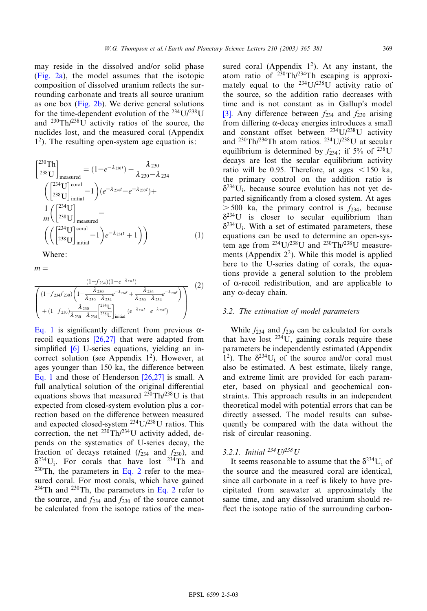<span id="page-4-0"></span>[may](#page-2-0) [resi](#page-2-0)de in the dissolved and/or solid phase (Fig. 2a), the model assumes that the isotopic composition [of disso](#page-2-0)lved uranium reflects the surrounding carbonate and treats all source uranium as one box (Fig. 2b). We derive general solutions for the time-dependent evolution of the  $^{234}$ U/ $^{238}$ U and  $^{230}Th/^{238}U$  activity ratios of the source, the nuclides lost, and the measured coral (Appendix  $1<sup>2</sup>$ ). The resulting open-system age equation is:

$$
\begin{aligned}\n\left[\frac{^{230}\text{Th}}{^{238}\text{U}}\right]_{\text{measured}} &= (1 - e^{-\lambda_{230}t}) + \frac{\lambda_{230}}{\lambda_{230} - \lambda_{234}} \\
\left(\frac{^{234}\text{U}}{^{238}\text{U}}\right]_{\text{initial}}^{\text{oral}} - 1\right) (e^{-\lambda_{234}t} - e^{-\lambda_{230}t}) + \\
\frac{1}{m} \left(\frac{^{234}\text{U}}{^{238}\text{U}}\right]_{\text{measured}} - \\
\left(\left(\frac{^{234}\text{U}}{^{238}\text{U}}\right)_{\text{initial}}^{\text{oral}} - 1\right) e^{-\lambda_{234}t} + 1\right) \right) \n\end{aligned} \tag{1}
$$

Where:

$$
m =
$$

$$
\frac{(1-f_{234})(1-e^{-\lambda_{234}t})}{\begin{pmatrix} (1-f_{234}f_{230})\left(1-\frac{\lambda_{230}}{\lambda_{230}-\lambda_{234}}e^{-\lambda_{234}t}+\frac{\lambda_{234}}{\lambda_{230}-\lambda_{234}}e^{-\lambda_{230}t}\right) \\ + (1-f_{230})\frac{\lambda_{230}}{\lambda_{230}-\lambda_{234}}\left|^{\frac{234}{238}\text{U}}\right]_{\text{initial}}(e^{-\lambda_{234}t}-e^{-\lambda_{230}t}) \end{pmatrix} (2)
$$

Eq. 1 is s[ign](#page-14-0)ific[antly](#page-15-0) [d](#page-15-0)ifferent from previous  $\alpha$ recoil equations [26,27] that were adapted from simplified  $[6]$  U-series equations, yielding an incorrect solution (see Appendix  $1^2$ ). However, at ages younger than 150 ka, the difference between Eq. 1 and those of Henderson [26,27] is small. A full analytical solution of the original differential equations shows that measured  $^{230}Th/^{238}U$  is that expected from closed-system evolution plus a correction based on the difference between measured and expected closed-system 234U/238U ratios. This correction, the net 230Th/234U activity added, depends on the systematics of U-series decay, the fraction of decays retained  $(f_{234}$  and  $f_{230})$ , and  $\delta^{234}U_i$ . For corals that have lost <sup>234</sup>Th and  $230$ Th, the parameters in Eq. 2 refer to the measured coral. For most corals, which have gained <sup>234</sup>Th and <sup>230</sup>Th, the parameters in Eq. 2 refer to the source, and  $f_{234}$  and  $f_{230}$  of the source cannot be calculated from the isotope ratios of the mea-

sured coral (Appendix  $1^2$ ). At any instant, the atom ratio of  $^{230} \text{Th}/^{234} \text{Th}$  escaping is approximately equal to the  $^{234}U/^{238}U$  activity ratio of [the](#page-14-0) source, so the addition ratio decreases with time and is not constant as in Gallup's model [3]. Any difference between  $f_{234}$  and  $f_{230}$  arising from differing  $\alpha$ -decay energies introduces a small and constant offset between  $^{234}U/^{238}U$  activity and 230Th/234Th atom ratios. 234U/238U at secular equilibrium is determined by  $f_{234}$ ; if 5% of <sup>238</sup>U decays are lost the secular equilibrium activity ratio will be 0.95. Therefore, at ages  $\lt$  150 ka, the primary control on the addition ratio is  $\delta^{234}$ U<sub>i</sub>, because source evolution has not yet departed significantly from a closed system. At ages  $> 500$  ka, the primary control is  $f_{234}$ , because  $\delta^{234}U$  is closer to secular equilibrium than  $\delta^{234}$ U<sub>i</sub>. With a set of estimated parameters, these equations can be used to determine an open-system age from  $^{234}$ U/ $^{238}$ U and  $^{230}$ Th/ $^{238}$ U measurements (Appendix  $2<sup>2</sup>$ ). While this model is applied here to the U-series dating of corals, the equations provide a general solution to the problem of  $\alpha$ -recoil redistribution, and are applicable to any  $\alpha$ -decay chain.

# 3.2. The estimation of model parameters

While  $f_{234}$  and  $f_{230}$  can be calculated for corals that have lost  $234$ U, gaining corals require these parameters be independently estimated (Appendix 1<sup>2</sup>). The  $\delta^{234}U_i$  of the source and/or coral must also be estimated. A best estimate, likely range, and extreme limit are provided for each parameter, based on physical and geochemical constraints. This approach results in an independent theoretical model with potential errors that can be directly assessed. The model results can subsequently be compared with the data without the risk of circular reasoning.

# 3.2.1. Initial  $^{234}U/^{238}U$

It seems reasonable to assume that the  $\delta^{234}U_i$  of the source and the measured coral are identical, since all carbonate in a reef is likely to have precipitated from seawater at approximately the same time, and any dissolved uranium should re flect the isotope ratio of the surrounding carbon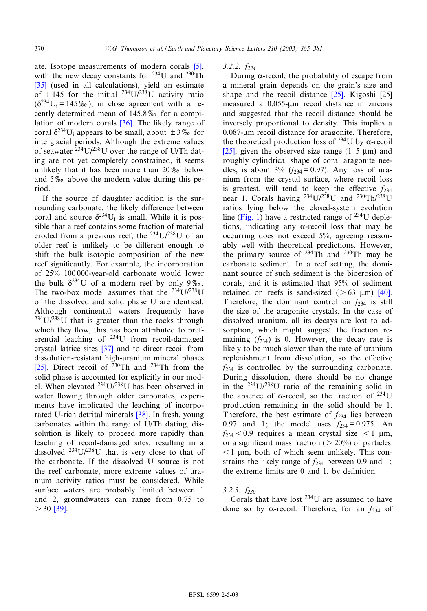[ate.](#page-15-0) Isotope measurements of modern corals [5], with the new decay constants for  $^{234}$ U and  $^{230}$ Th [35] (used in all calculations), yield an estimate of 1.145 for the initial  $^{234}U/^{238}U$  activity ratio  $(\delta^{234}U_i = 145\%)$ , in clo[se a](#page-15-0)greement with a recently determined mean of  $145.8\%$  for a compilation of modern corals [36]. The likely range of coral  $\delta^{234}$ U<sub>i</sub> appears to be small, about  $\pm 3\%$  for interglacial periods. Although the extreme values of seawater  $^{234}$ U/<sup>238</sup>U over the range of U/Th dating are not yet completely constrained, it seems unlikely that it has been more than  $20\%$  below and  $5\%$  above the modern value during this period.

If the source of daughter addition is the surrounding carbonate, the likely difference between coral and source  $\delta^{234}U_i$  is small. While it is possible that a reef contains some fraction of material eroded from a previous reef, the  $^{234}$ U/ $^{238}$ U of an older reef is unlikely to be different enough to shift the bulk isotopic composition of the new reef significantly. For example, the incorporation of 25% 100 000-year-old carbonate would lower the bulk  $\delta^{234}U$  of a modern reef by only 9%. The two-box model assumes that the  $^{234}$ U/ $^{238}$ U of the dissolved and solid phase U are identical. Although continental waters frequently have  $234$ U/ $238$ U that is greater than the rocks through which they flow, th[is ha](#page-15-0)s been attributed to preferential leaching of 234U from recoil-damaged [crys](#page-15-0)tal lattice sites [37] and to direct recoil from dissolution-resistant high-uranium mineral phases [25]. Direct recoil of  $^{230}$ Th and  $^{234}$ Th from the solid phase is accounted for explicitly in our model. When elevated 234U/238U has been observed in water flowing through older [car](#page-15-0)bonates, experiments have implicated the leaching of incorporated U-rich detrital minerals [38]. In fresh, young carbonates within the range of U/Th dating, dissolution is likely to proceed more rapidly than leaching of recoil-damaged sites, resulting in a dissolved 234U/238U that is very close to that of the carbonate. If the dissolved U source is not the reef carbonate, more extreme values of uranium activity ratios must be considered. While surfa[ce w](#page-15-0)aters are probably limited between 1 and 2, groundwaters can range from 0.75 to  $> 30$  [39].

# $3.2.2. f_{234}$

During  $\alpha$ -recoil, the probabil[ity o](#page-15-0)f escape f[rom](#page-15-0) a mineral grain depends on the grain's size and shape and the recoil distance [25]. Kigoshi [25] measured a 0.055-um recoil distance in zircons and suggested that the recoil distance should be inversely proportional to density. This implies a [0.08](#page-15-0)7-Wm recoil distance for aragonite. Therefore, the theoretical production loss of <sup>234</sup>U by  $\alpha$ -recoil [25], given the observed size range  $(1-5 \text{ }\mu\text{m})$  and roughly cylindrical shape of coral aragonite needles, is about  $3\%$  ( $f_{234} = 0.97$ ). Any loss of uranium from the crystal surface, where recoil loss is greatest, will tend to keep the effective  $f_{234}$ near [1. Co](#page-1-0)rals having  $^{234}U^{238}U$  and  $^{230}Th^{238}U$ ratios lying below the closed-system evolution line (Fig. 1) have a restricted range of  $^{234}$ U depletions, indicating any  $\alpha$ -recoil loss that may be occurring does not exceed 5%, agreeing reasonably well with theoretical predictions. However, the primary source of  $234 \text{ T}$ h and  $230 \text{ T}$ h may be carbonate sediment. In a reef setting, the dominant source of such sediment is the bioerosio[n of](#page-15-0) corals, and it is estimated that 95% of sediment retained on reefs is sand-sized ( $> 63 \mu m$ ) [40]. Therefore, the dominant control on  $f_{234}$  is still the size of the aragonite crystals. In the case of dissolved uranium, all its decays are lost to adsorption, which might suggest the fraction remaining  $(f_{234})$  is 0. However, the decay rate is likely to be much slower than the rate of uranium replenishment from dissolution, so the effective  $f_{234}$  is controlled by the surrounding carbonate. During dissolution, there should be no change in the 234U/238U ratio of the remaining solid in the absence of  $\alpha$ -recoil, so the fraction of <sup>234</sup>U production remaining in the solid should be 1. Therefore, the best estimate of  $f_{234}$  lies between 0.97 and 1; the model uses  $f_{234} = 0.975$ . An  $f_{234}$  < 0.9 requires a mean crystal size < 1 µm, or a significant mass fraction ( $> 20\%$ ) of particles  $<$  1 µm, both of which seem unlikely. This constrains the likely range of  $f_{234}$  between 0.9 and 1; the extreme limits are  $0$  and  $1$ , by definition.

## $3.2.3. f_{230}$

Corals that have lost 234U are assumed to have done so by  $\alpha$ -recoil. Therefore, for an  $f_{234}$  of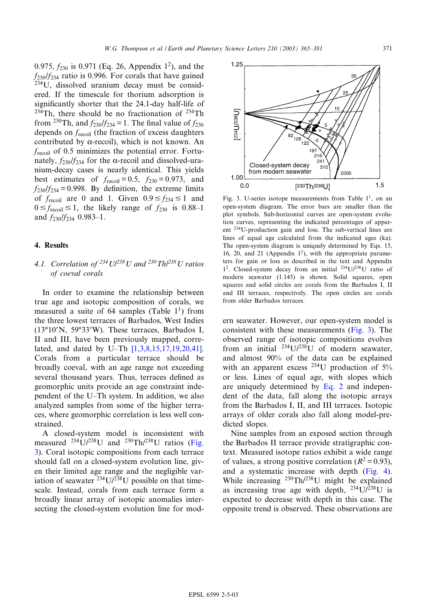<span id="page-6-0"></span>0.975,  $f_{230}$  is 0.971 (Eq. 26, Appendix 1<sup>2</sup>), and the  $f_{230}/f_{234}$  ratio is 0.996. For corals that have gained 234U, dissolved uranium decay must be considered. If the timescale for thorium adsorption is significantly shorter that the 24.1-day half-life of  $234$ Th, there should be no fractionation of  $234$ Th from <sup>230</sup>Th, and  $f_{230}/f_{234} = 1$ . The final value of  $f_{230}$ depends on  $f_{\text{recoil}}$  (the fraction of excess daughters contributed by  $\alpha$ -recoil), which is not known. An  $f_{\text{recoil}}$  of 0.5 minimizes the potential error. Fortunately,  $f_{230}/f_{234}$  for the  $\alpha$ -recoil and dissolved-uranium-decay cases is nearly identical. This yields best estimates of  $f_{\text{recoil}} = 0.5$ ,  $f_{230} = 0.973$ , and  $f_{230}/f_{234} = 0.998$ . By definition, the extreme limits of  $f_{\text{recoil}}$  are 0 and 1. Given  $0.9 \le f_{234} \le 1$  and  $0 \le f_{\text{recoil}} \le 1$ , the likely range of  $f_{230}$  is 0.88-1 and  $f_{230}/f_{234}$  0.983–1.

#### 4. Results

# 4.1. Correlation of  $^{234}U^{238}U$  and  $^{230}Th^{238}U$  ratios of coeval corals

In order to examine the relationship between true age and isotopic composition of corals, we measured a suite of 64 samples (Table  $1<sup>1</sup>$ ) from the three lowest terraces of Barbados, West Indies  $(13°10'N, 59°33'W)$ . These [terraces, Barbados I](#page-14-0), II and III, have been previously mapped, correlated, and dated by U-Th  $[1,3,8,15,17,19,20,41]$ . Corals from a particular terrace should be broadly coeval, with an age range not exceeding several thousand years. Thus, terraces defined as geomorphic units provide an age constraint independent of the U^Th system. In addition, we also analyzed samples from some of the higher terraces, where geomorphic correlation is less well constrained.

A closed-system model is inconsistent with measured 234U/238U and 230Th/238U ratios (Fig. 3). Coral isotopic compositions from each terrace should fall on a closed-system evolution line, given their limited age range and the negligible variation of seawater  $^{234}$ U/ $^{238}$ U possible on that timescale. Instead, corals from each terrace form a broadly linear array of isotopic anomalies intersecting the closed-system evolution line for mod-



Fig. 3. U-series isotope measurements from Table  $1<sup>1</sup>$ , on an open-system diagram. The error bars are smaller than the plot symbols. Sub-horizontal curves are open-system evolution curves, representing the indicated percentages of apparent 234U-production gain and loss. The sub-vertical lines are lines of equal age calculated from the indicated ages (ka). The open-system diagram is uniquely determined by Eqs. 15, 16, 20, and 21 (Appendix  $1^2$ ), with the appropriate parameters for gain or loss as described in the text and Appendix  $1^2$ . Closed-system decay from an initial  $^{234}$ U/ $^{238}$ U ratio of modern seawater (1.145) is shown. Solid squares, open squares and solid circles are corals from the Barbados I, II and III terraces, respectively. The open circles are corals from older Barbados terraces.

ern seawater. However, our open-system model is consistent with these measurements (Fig. 3). The observed range of isotopic compositions evolves from an initial  $^{234}U/^{238}U$  of modern seawater, and almost 90% of the data can be explained with an apparent excess  $^{234}$ [U prod](#page-4-0)uction of  $5\%$ or less. Lines of equal age, with slopes which are uniquely determined by Eq. 2 and independent of the data, fall along the isotopic arrays from the Barbados I, II, and III terraces. Isotopic arrays of older corals also fall along model-predicted slopes.

Nine samples from an exposed section through the Barbados II terrace provide stratigraphic context. Measured isotope ratios exhibit a wi[de rang](#page-7-0)e of values, a strong positive correlation ( $R^2 = 0.93$ ), and a systematic increase with depth (Fig. 4). While increasing 230Th/238U might be explained as increasing true age with depth,  $^{234}U/^{238}U$  is expected to decrease with depth in this case. The opposite trend is observed. These observations are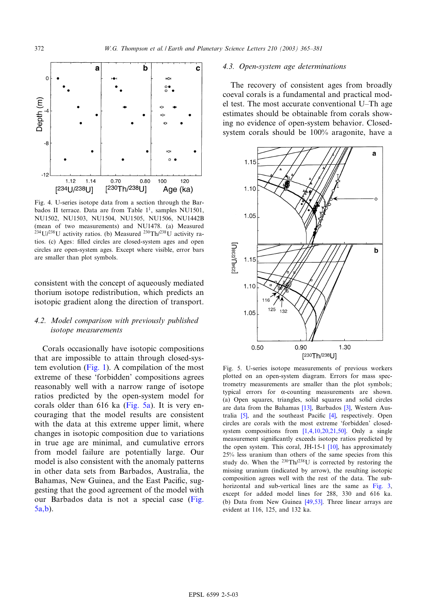<span id="page-7-0"></span>

Fig. 4. U-series isotope data from a section through the Barbados II terrace. Data are from Table  $1<sup>1</sup>$ , samples NU1501, NU1502, NU1503, NU1504, NU1505, NU1506, NU1442B (mean of two measurements) and NU1478. (a) Measured  $^{234}$ U/<sup>238</sup>U activity ratios. (b) Measured  $^{230}$ Th/<sup>238</sup>U activity ratios. (c) Ages: filled circles are closed-system ages and open circles are open-system ages. Except where visible, error bars are smaller than plot symbols.

consistent with the concept of aqueously mediated thorium isotope redistribution, which predicts an isotopic gradient along the direction of transport.

# 4.2. Model comparison with previously published isotope measurements

Corals occas[ionally](#page-1-0) have isotopic compositions that are impossible to attain through closed-system evolution (Fig. 1). A compilation of the most extreme of these 'forbidden' compositions agrees reasonably well with a narrow range of isotope ratios predicted by the open-system model for corals older than 616 ka (Fig. 5a). It is very encouraging that the model results are consistent with the data at this extreme upper limit, where changes in isotopic composition due to variations in true age are minimal, and cumulative errors from model failure are potentially large. Our model is also consistent with the anomaly patterns in other data sets from Barbados, Australia, the Bahamas, New Guinea, and the East Pacific, suggesting that the good agreement of the model with our Barbados data is not a special case (Fig. 5a,b).

# 4.3. Open-system age determinations

The recovery of consistent ages from broadly coeval corals is a fundamental and practical model test. The most accurate conventional U^Th age estimates should be obtainable from corals showing no evidence of open-system behavior. Closedsystem corals should be 100% aragonite, have a



Fig. 5. U-series isotope measurements of previous workers plotted on an open-system diagram. Errors for mass spectrometry measurements are smaller than the plot symbols; typical errors for  $\alpha$ -coun[ting](#page-14-0) measurem[ent](#page-14-0)s are shown. (a) O[pen](#page-14-0) squares, triangles, solid sq[uar](#page-14-0)es and solid circles are data from the Bahamas [13], Barbados [3], Western Australia  $[5]$ , and the southeast Pacific  $[4]$ , respectively. Open circles are corals with the most extreme 'forbidden' closed-system compositions from [1,4,10,2[0,21,](#page-14-0)50]. Only a single measurement significantly exceeds isotope ratios predicted by the open system. This coral, JH-15-1 [10], has approximately 25% less uranium than others of the same species from this study do. When the  $^{230}Th/^{238}U$  is corrected by restoring the missing uranium (indicated by arrow), the resulting [isotopic](#page-6-0) composition agrees well with the rest of the data. The subhorizontal and sub-vertical [lines a](#page-15-0)re the same as Fig. 3, except for added model lines for 288, 330 and 616 ka. (b) Data from New Guinea [49,53]. Three linear arrays are evident at 116, 125, and 132 ka.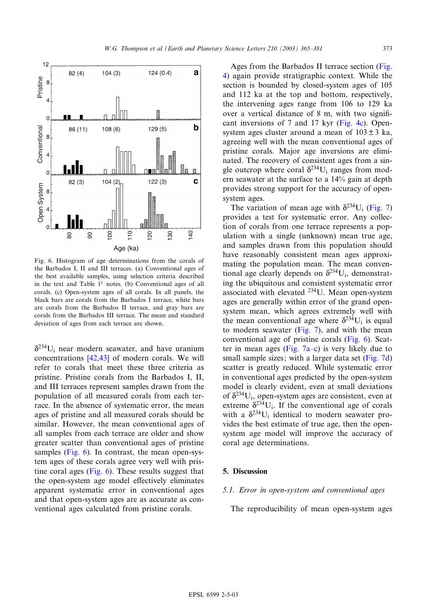

Fig. 6. Histogram of age determinations from the corals of the Barbados I, II and III terraces. (a) Conventional ages of the best available samples, using selection criteria described in the text and Table  $1<sup>1</sup>$  notes. (b) Conventional ages of all corals. (c) Open-system ages of all corals. In all panels, the black bars are corals from the Barbados I terrace, white bars are corals from the Barbados II terrace, and gray bars are corals from the Barbados III terrace. The mean and standard deviation of ages from each terrace are shown.

 $\delta^{234}$ U<sub>i</sub> near m[odern](#page-15-0) [s](#page-15-0)eawater, and have uranium concentrations [42,43] of modern corals. We will refer to corals that meet these three criteria as pristine. Pristine corals from the Barbados I, II, and III terraces represent samples drawn from the population of all measured corals from each terrace. In the absence of systematic error, the mean ages of pristine and all measured corals should be similar. However, the mean conventional ages of all samples from each terrace are older and show greater scatter than conventional ages of pristine samples (Fig. 6). In contrast, the mean open-system ages of these corals agree very well with pristine coral ages (Fig. 6). These results suggest that the open-system age model effectively eliminates apparent systematic error in conventional ages and that open-system ages are as accurate as conventional ages calculated from pristine corals.

Ages from the Barbados II terrace section (Fig. 4) again provide stratigraphic context. While the section is bounded by closed-system ages of 105 and 112 ka at the top and bottom, respectively, the intervening ages range from [106 to](#page-7-0) 129 ka over a vertical distance of  $8 \text{ m}$ , with two significant inversions of 7 and 17 kyr (Fig. 4c). Opensystem ages cluster around a mean of  $103 \pm 3$  ka, agreeing well with the mean conventional ages of pristine corals. Major age inversions are eliminated. The recovery of consistent ages from a single outcrop where coral  $\delta^{234}U_i$  ranges from modern seawater at the surface to a 14% gain at depth provides strong support for the accuracy o[f open](#page-9-0)system ages.

The variation of mean age with  $\delta^{234}$ U<sub>i</sub> (Fig. 7) provides a test for systematic error. Any collection of corals from one terrace represents a population with a single (unknown) mean true age, and samples drawn from this population should have reasonably consistent mean ages approximating the population mean. The mean conventional age clearly depends on  $\delta^{234}U_i$ , demonstrating the ubiquitous and consistent systematic error associated with elevated 234U. Mean open-system ages are generally within error of the grand opensystem mean, which [agrees](#page-9-0) extremely well with the mean conventional age where  $\delta^{234}U_i$  is equal to modern seawat[er \(Fig. 7](#page-9-0)), and with the mean conventional age of pristine corals (Fig. [6\). Scat](#page-9-0)ter in mean ages (Fig.  $7a-c$ ) is very likely due to small sample sizes; with a larger data set (Fig. 7d) scatter is greatly reduced. While systematic error in conventional ages predicted by the open-system model is clearly evident, even at small deviations of  $\delta^{234}U_i$ , open-system ages are consistent, even at extreme  $\delta^{234}U_i$ . If the conventional age of corals with a  $\delta^{234}$ U<sub>i</sub> identical to modern seawater provides the best estimate of true age, then the opensystem age model will improve the accuracy of coral age determinations.

# 5. Discussion

## 5.1. Error in open-system and conventional ages

The reproducibility of mean open-system ages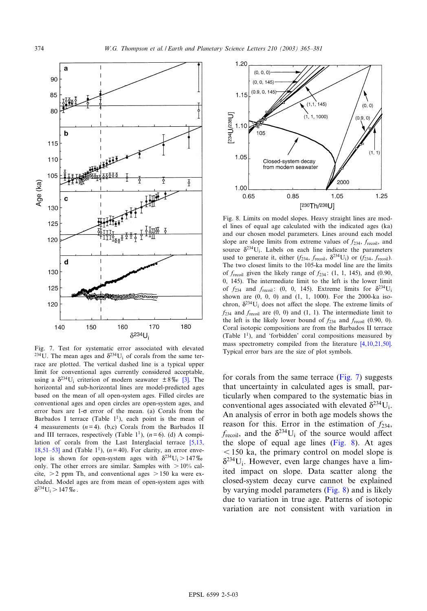<span id="page-9-0"></span>

Fig. 7. Test for systematic error associated with elevated  $\frac{1.8734 \text{ yr}}{234 \text{ yr}}$  of  $\frac{1.8734 \text{ yr}}{24 \text{ yr}}$  of  $\frac{1.8734 \text{ yr}}{24 \text{ yr}}$  of  $\frac{1.8734 \text{ yr}}{24 \text{ yr}}$  of  $\frac{1.8734 \text{ yr}}{24 \text{ yr}}$  of  $\frac{1.8734 \text{ yr}}{24 \text{$ <sup>234</sup>U. The mean ages and  $\delta^{234}U_i$  of corals from the same terrace are plotted. The vertical dashed line is a typic[al u](#page-14-0)pper limit for conventional ages currently considered acceptable, using a  $\delta^{234}U_i$  criterion of modern seawater  $\pm 8\%$  [3]. The horizontal and sub-horizontal lines are model-predicted ages based on the mean of all open-system ages. Filled circles are conventional ages and open circles are open-system ages, and error bars are  $1-\sigma$  error of the mean. (a) Corals from the Barbados I terrace (Table  $1^1$ ), each point is the mean of 4 measurements  $(n=4)$ . (b,c) Corals from the Barbad[os II](#page-14-0) [and III te](#page-14-0)rraces, respectively (Table 1<sup>1</sup>),  $(n=6)$ . (d) A compilation of corals from the Last Interglacial terrace [5,13, 18,51-53] and (Table 1<sup>1</sup>), ( $n= 40$ ). For clarity, an error envelope is shown for open-system ages with  $\delta^{234}U_i > 147\%$ only. The other errors are similar. Samples with  $> 10\%$  calcite,  $> 2$  ppm Th, and conventional ages  $> 150$  ka were excluded. Model ages are from mean of open-system ages with  $\delta^{234}U_i > 147\%$ .



Fig. 8. Limits on model slopes. Heavy straight lines are model lines of equal age calculated with the indicated ages (ka) and our chosen model parameters. Lines around each model slope are slope limits from extreme values of  $f_{234}$ ,  $f_{\text{recoil}}$ , and source  $\delta^{234}$ U<sub>i</sub>. Labels on each line indicate the parameters used to generate it, either  $(f_{234}, f_{\text{recoil}}, \delta^{234}U_i)$  or  $(f_{234}, f_{\text{recoil}})$ . The two closest limits to the 105-ka model line are the limits of  $f_{\text{recoil}}$  given the likely range of  $f_{234}$ : (1, 1, 145), and (0.90, 0, 145). The intermediate limit to the left is the lower limit of  $f_{234}$  and  $f_{\text{recoil}}$ : (0, 0, 145). Extreme limits for  $\delta^{234}$ U<sub>i</sub> shown are (0, 0, 0) and (1, 1, 1000). For the 2000-ka isochron,  $\delta^{234}U_i$  does not affect the slope. The extreme limits of  $f_{234}$  and  $f_{\text{recoil}}$  are (0, 0) and (1, 1). The intermediate limit to the left is the likely lower bound of  $f_{234}$  and  $f_{\text{recoil}}$  (0.90, 0). Coral isotopic compositions are from the Barbad[os II terrace](#page-14-0) (Table  $1^1$ ), and 'forbidden' coral compositions measured by mass spectrometry compiled from the literature [4,10,21,50].

for corals from the same terrace (Fig. 7) suggests that uncertainty in calculated ages is small, particularly when compared to the systematic bias in conventional ages associated with elevated  $\delta^{234}U_i$ . An analysis of error in both age models shows the reason for this. Error in the estimation of  $f_{234}$ ,  $f_{\text{recoil}}$ , and the  $\delta^{234}U_i$  of the source would affect the slope of equal age lines (Fig. 8). At ages  $6$  150 ka, the primary control on model slope is  $\delta^{234}U_i$ . However, even large changes have a limited impact on slope. Data scatter along the closed-system decay curve cannot be explained by varying model parameters (Fig. 8) and is likely due to variation in true age. Patterns of isotopic variation are not consistent with variation in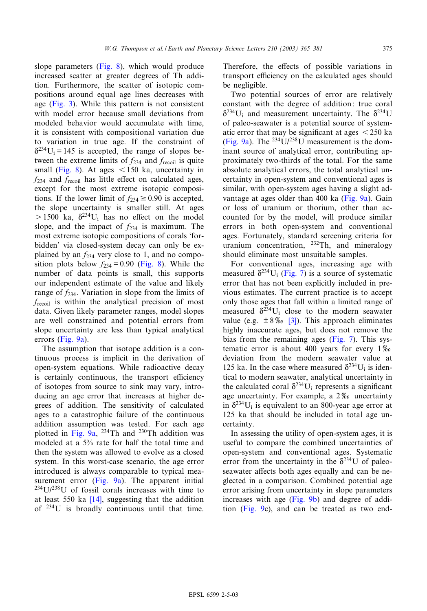slope parameters (Fig. 8), which would produce increased scatter at greater degrees of Th addition. [Furth](#page-6-0)ermore, the scatter of isotopic compositions around equal age lines decreases with age (Fig. 3). While this pattern is not consistent with model error because small deviations from modeled behavior would accumulate with time, it is consistent with compositional variation due to variation in true age. If the constraint of  $\delta^{234}U_i = 145$  is accepted, the range of slopes between the extreme limits of  $f_{234}$  and  $f_{\text{recoil}}$  is quite small (Fig. 8). At ages  $<$  150 ka, uncertainty in  $f_{234}$  and  $f_{\text{recoil}}$  has little effect on calculated ages, except for the most extreme isotopic compositions. If the lower limit of  $f_{234} \ge 0.90$  is accepted, the slope uncertainty is smaller still. At ages  $> 1500$  ka,  $\delta^{234}$ U<sub>i</sub> has no effect on the model slope, and the impact of  $f_{234}$  is maximum. The most extreme isotopic compositions of corals 'forbidden' via closed-system dec[ay can](#page-9-0) only be explained by an  $f_{234}$  very close to 1, and no composition plots below  $f_{234} = 0.90$  (Fig. 8). While the number of data points is small, this supports our independent estimate of the value and likely range of  $f_{234}$ . Variation in slope from the limits of frecoil is within the analytical precision of most data. Given likely parameter ranges, model slopes are we[ll const](#page-11-0)rained and potential errors from slope uncertainty are less than typical analytical errors (Fig. 9a).

The assumption that isotope addition is a continuous process is implicit in the derivation of open-system equations. While radioactive decay is certainly continuous, the transport efficiency of isotopes from source to sink may vary, introducing an age error that increases at higher degrees of addition. The sensitivity of calculated ages to a [catastro](#page-11-0)phic failure of the continuous addition assumption was tested. For each age plotted in Fig.  $9a$ ,  $^{234}$ Th and  $^{230}$ Th addition was modeled at a 5% rate for half the total time and then the system was allowed to evolve as a closed system. In this w[orst-case](#page-11-0) scenario, the age error introduced is always comparable to typical mea-surement error [\(Fi](#page-14-0)g. 9a). The apparent initial  $234$ U/ $238$ U of fossil corals increases with time to at least 550 ka [14], suggesting that the addition of 234U is broadly continuous until that time.

Therefore, the effects of possible variations in transport efficiency on the calculated ages should be negligible.

Two potential sources of error are relatively constant with the degree of addition: true coral  $\delta^{234}$ U<sub>i</sub> and measurement uncertainty. The  $\delta^{234}$ U [of paleo](#page-11-0)-seawater is a potential source of systematic error that may be significant at ages  $\leq 250$  ka (Fig. 9a). The  $^{234}$ U/ $^{238}$ U measurement is the dominant source of analytical error, contributing approximately two-thirds of the total. For the same absolute analytical errors, the total analytical uncertainty in open-system and conve[ntional](#page-11-0) ages is similar, with open-system ages having a slight advantage at ages older than 400 ka (Fig. 9a). Gain or loss of uranium or thorium, other than accounted for by the model, will produce similar errors in both open-system and conventional ages. Fortunately, standard screening criteria for uranium concentration,  $^{232}$ Th, and mineralogy should eliminate [most u](#page-9-0)nsuitable samples.

For conventional ages, increasing age with measured  $\delta^{234}$ U<sub>i</sub> (Fig. 7) is a source of systematic error that has not been explicitly included in previous estimates. The current practice is to accept only those ages tha[t f](#page-14-0)all within a limited range of measured  $\delta^{234}U_i$  close to the modern seawater value (e.g.  $\pm 8\%$  [3]). This ap[proach](#page-9-0) eliminates highly inaccurate ages, but does not remove the bias from the remaining ages (Fig. 7). This systematic error is about 400 years for every  $1\%$ deviation from the modern seawater value at 125 ka. In the case where measured  $\delta^{234}$ U<sub>i</sub> is identical to modern seawater, analytical uncertainty in the calculated coral  $\delta^{234}U_i$  represents a significant age uncertainty. For example, a  $2\%$  uncertainty in  $\delta^{234}U_i$  is equivalent to an 800-year age error at 125 ka that should be included in total age uncertainty.

In assessing the utility of open-system ages, it is useful to compare the combined uncertainties of open-system and conventional ages. Systematic error from the uncertainty in the  $\delta^{234}$ U of paleoseawater affects both ages equally and can be neglected in a compar[ison. Co](#page-11-0)mbined potential age error [arising](#page-11-0) from uncertainty in slope parameters increases with age (Fig. 9b) and degree of addition (Fig. 9c), and can be treated as two end-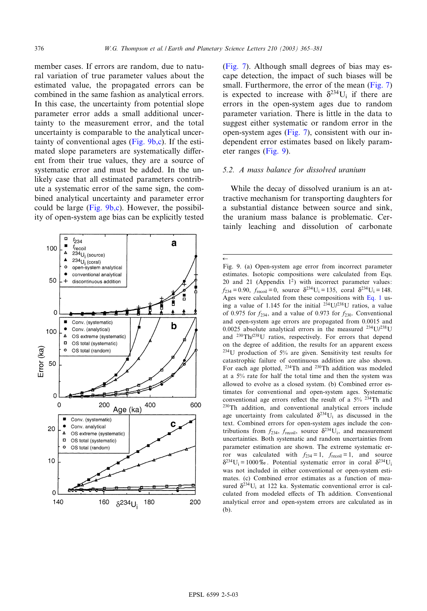$\leftarrow$ 

<span id="page-11-0"></span>member cases. If errors are random, due to natural variation of true parameter values about the estimated value, the propagated errors can be combined in the same fashion as analytical errors. In this case, the uncertainty from potential slope parameter error adds a small additional uncertainty to the measurement error, and the total uncertainty is comparable to the analytical uncertainty of conventional ages (Fig. 9b,c). If the estimated slope parameters are systematically different from their true values, they are a source of systematic error and must be added. In the unlikely case that all estimated parameters contribute a systematic error of the same sign, the combined analytical uncertainty and parameter error could be large (Fig.  $9b,c$ ). However, the possibility of open-system age bias can be explicitly tested



(Fig. 7). Although small degrees of bias [may es](#page-9-0)cape detection, the impact of such biases will be small. Furthermore, the error of the mean (Fig. 7) is expected to increase with  $\delta^{234}U_i$  if there are errors in the open-system ages due to random parameter variatio[n. The](#page-9-0)re is little in the data to suggest either systematic or random error in the open-system ages (Fig. 7), consistent with our independent error estimates based on likely parameter ranges (Fig. 9).

# 5.2. A mass balance for dissolved uranium

While the decay of dissolved uranium is an attractive mechanism for transporting daughters for a substantial distance between source and sink, the uranium mass balance is problematic. Certainly leaching and dissolution of carbonate

Fig. 9. (a) Open-system age error from incorrect parameter estimates. Isotopic compositions were calculated from Eqs. 20 and 21 (Appendix  $1^2$ ) with incorrect paramet[er valu](#page-4-0)es:  $f_{234} = 0.90$ ,  $f_{\text{recoil}} = 0$ , source  $\delta^{234}U_i = 135$ , coral  $\delta^{234}U_i = 148$ . Ages were calculated from these compositions with Eq. 1 using a value of 1.145 for the initial  $2\overline{3}4U/238U$  ratios, a value of 0.975 for  $f_{234}$ , and a value of 0.973 for  $f_{230}$ . Conventional and open-system age errors are propagated from 0.0015 and 0.0025 absolute analytical errors in the measured  $^{234}$ U/<sup>238</sup>U and 230Th/238U ratios, respectively. For errors that depend on the degree of addition, the results for an apparent excess 234U production of 5% are given. Sensitivity test results for catastrophic failure of continuous addition are also shown. For each age plotted, 234Th and 230Th addition was modeled at a 5% rate for half the total time and then the system was allowed to evolve as a closed system. (b) Combined error estimates for conventional and open-system ages. Systematic conventional age errors reflect the result of a  $5\%$  <sup>234</sup>Th and 230Th addition, and conventional analytical errors include age uncertainty from calculated  $\delta^{234}U_i$  as discussed in the text. Combined errors for open-system ages include the contributions from  $f_{234}$ ,  $f_{\text{recoil}}$ , source  $\delta^{234}U_i$ , and measurement uncertainties. Both systematic and random uncertainties from parameter estimation are shown. The extreme systematic error was calculated with  $f_{234} = 1$ ,  $f_{\text{recoil}} = 1$ , and source  $\delta^{234}U_i = 1000\%$ . Potential systematic error in coral  $\delta^{234}U_i$ was not included in either conventional or open-system estimates. (c) Combined error estimates as a function of measured  $\delta^{234}U_i$  at 122 ka. Systematic conventional error is calculated from modeled effects of Th addition. Conventional analytical error and open-system errors are calculated as in (b).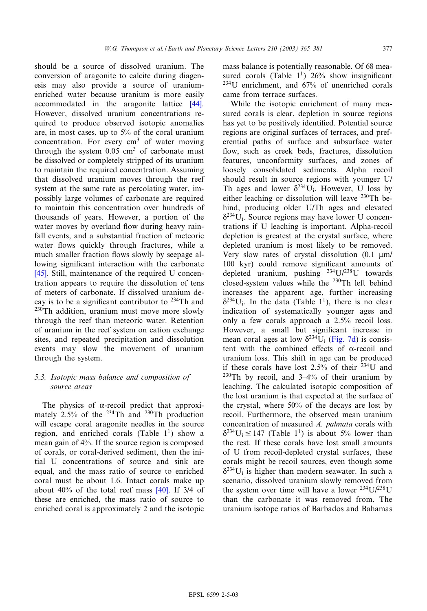should be a source of dissolved uranium. The conversion of aragonite to calcite during diagenesis may also provide a source of uran[ium](#page-15-0)enriched water because uranium is more easily accommodated in the aragonite lattice [44]. However, dissolved uranium concentrations required to produce observed isotopic anomalies are, in most cases, up to 5% of the coral uranium concentration. For every  $cm<sup>3</sup>$  of water moving through the system  $0.05 \text{ cm}^3$  of carbonate must be dissolved or completely stripped of its uranium to maintain the required concentration. Assuming that dissolved uranium moves through the reef system at the same rate as percolating water, impossibly large volumes of carbonate are required to maintain this concentration over hundreds of thousands of years. However, a portion of the water moves by overland flow during heavy rainfall events, and a substantial fraction of meteoric water flows quickly through fractures, while a [muc](#page-15-0)h smaller fraction flows slowly by seepage allowing significant interaction with the carbonate [45]. Still, maintenance of the required U concentration appears to require the dissolution of tens of meters of carbonate. If dissolved uranium decay is to be a significant contributor to  $^{234}$ Th and <sup>230</sup>Th addition, uranium must move more slowly through the reef than meteoric water. Retention of uranium in the reef system on cation exchange sites, and repeated precipitation and dissolution events may slow the movement of uranium through the system.

# 5.3. Isotopic mass balance and composition of source areas

The physics of  $\alpha$ -recoil predict that approximately 2.5% of the 234Th and 230Th production will escape coral aragonite needles in the source region, and enriched corals (Table  $1<sup>1</sup>$ ) show a mean gain of 4%. If the source region is composed of corals, or coral-derived sediment, then the initial U concentrations of source and sink are equal, and the mass ratio of sour[ce to](#page-15-0) enriched coral must be about 1.6. Intact corals make up about 40% of the total reef mass [40]. If 3/4 of these are enriched, the mass ratio of source to enriched coral is approximately 2 and the isotopic mass balance is potentially reasonable. Of 68 measured corals (Table  $1^1$ ) 26% show insignificant  $234$ U enrichment, and  $67%$  of unenriched corals came from terrace surfaces.

While the isotopic enrichment of many measured corals is clear, depletion in source regions has yet to be positively identified. Potential source regions are original surfaces of terraces, and preferential paths of surface and subsurface water flow, such as creek beds, fractures, dissolution features, unconformity surfaces, and zones of loosely consolidated sediments. Alpha recoil should result in source regions with younger U/ Th ages and lower  $\delta^{234}$ U<sub>i</sub>. However, U loss by either leaching or dissolution will leave  $230$ Th behind, producing older U/Th ages and elevated  $\delta^{234}$ U<sub>i</sub>. Source regions may have lower U concentrations if U leaching is important. Alpha-recoil depletion is greatest at the crystal surface, where depleted uranium is most likely to be removed. Very slow rates of crystal dissolution  $(0.1 \mu m)$ 100 kyr) could remove significant amounts of depleted uranium, pushing  $^{234}U/^{238}U$  towards closed-system values while the 230Th left behind increases the apparent age, further increasing  $\delta^{234}$ U<sub>i</sub>. In the data (Table 1<sup>1</sup>), there is no clear indication of systematically younger ages and only a few corals approach a [2.5% r](#page-9-0)ecoil loss. However, a small but significant increase in mean coral ages at low  $\delta^{234}$ U<sub>i</sub> (Fig. 7d) is consistent with the combined effects of  $\alpha$ -recoil and uranium loss. This shift in age can be produced if these corals have lost  $2.5\%$  of their  $^{234}$ U and  $230$ Th by recoil, and  $3-4%$  of their uranium by leaching. The calculated isotopic composition of the lost uranium is that expected at the surface of the crystal, where 50% of the decays are lost by recoil. Furthermore, the observed mean uranium concentration of measured A. palmata corals with  $\delta^{234}U_i \le 147$  (Table 1<sup>1</sup>) is about 5% lower than the rest. If these corals have lost small amounts of U from recoil-depleted crystal surfaces, these corals might be recoil sources, even though some  $\delta^{234}$ U<sub>i</sub> is higher than modern seawater. In such a scenario, dissolved uranium slowly removed from the system over time will have a lower  $^{234}U/^{238}U$ than the carbonate it was removed from. The uranium isotope ratios of Barbados and Bahamas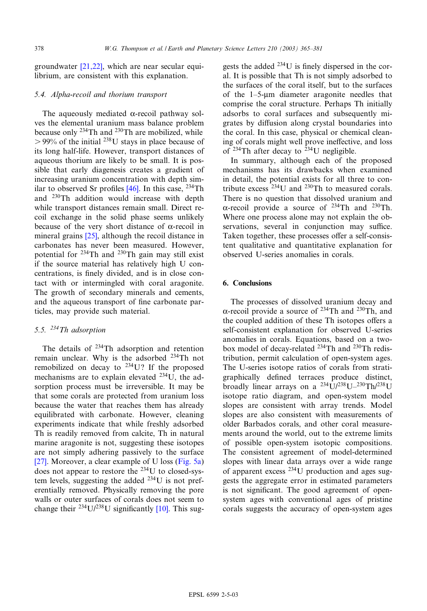groundwater [21,22], which are near secular equilibrium, are consistent with this explanation.

## 5.4. Alpha-recoil and thorium transport

The aqueously mediated  $\alpha$ -recoil pathway solves the elemental uranium mass balance problem because only  $^{234}$ Th and  $^{230}$ Th are mobilized, while  $> 99\%$  of the initial <sup>238</sup>U stays in place because of its long half-life. However, transport distances of aqueous thorium are likely to be small. It is possible that early diagenesis [cre](#page-15-0)ates a gradient of increasing uranium concentration with depth similar to observed Sr profiles  $[46]$ . In this case, <sup>234</sup>Th and 230Th addition would increase with depth while transport distances remain small. Direct recoil exchange [in t](#page-15-0)he solid phase seems unlikely because of the very short distance of  $\alpha$ -recoil in mineral grains [25], although the recoil distance in carbonates has never been measured. However, potential for 234Th and 230Th gain may still exist if the source material has relatively high U concentrations, is finely divided, and is in close contact with or intermingled with coral aragonite. The growth of secondary minerals and cements, and the aqueous transport of fine carbonate particles, may provide such material.

# 5.5. 234Th adsorption

The details of <sup>234</sup>Th adsorption and retention remain unclear. Why is the adsorbed 234Th not remobilized on decay to  $234$ U? If the proposed mechanisms are to explain elevated 234U, the adsorption process must be irreversible. It may be that some corals are protected from uranium loss because the water that reaches them has already equilibrated with carbonate. However, cleaning experiments indicate that while freshly adsorbed Th is readily removed from calcite, Th in natural [mar](#page-15-0)ine aragonite is not, suggesting these [isotopes](#page-7-0) are not simply adhering passively to the surface [27]. Moreover, a clear example of U loss (Fig. 5a) does not appear to restore the 234U to closed-system levels, suggesting the added 234U is not preferentially removed. Physically rem[oving](#page-14-0) the pore walls or outer surfaces of corals does not seem to change their  $^{234}U/^{238}U$  significantly [10]. This suggests the added  $^{234}$ U is finely dispersed in the coral. It is possible that Th is not simply adsorbed to the surfaces of the coral itself, but to the surfaces of the  $1-5$ -um diameter aragonite needles that comprise the coral structure. Perhaps Th initially adsorbs to coral surfaces and subsequently migrates by diffusion along crystal boundaries into the coral. In this case, physical or chemical cleaning of corals might well prove ineffective, and loss of  $234$ Th after decay to  $234$ U negligible.

In summary, although each of the proposed mechanisms has its drawbacks when examined in detail, the potential exists for all three to contribute excess  $^{234}$ U and  $^{230}$ Th to measured corals. There is no question that dissolved uranium and  $\alpha$ -recoil provide a source of <sup>234</sup>Th and <sup>230</sup>Th. Where one process alone may not explain the observations, several in conjunction may suffice. Taken together, these processes offer a self-consistent qualitative and quantitative explanation for observed U-series anomalies in corals.

# 6. Conclusions

The processes of dissolved uranium decay and  $\alpha$ -recoil provide a source of <sup>234</sup>Th and <sup>230</sup>Th, and the coupled addition of these Th isotopes offers a self-consistent explanation for observed U-series anomalies in corals. Equations, based on a twobox model of decay-related 234Th and 230Th redistribution, permit calculation of open-system ages. The U-series isotope ratios of corals from stratigraphically de¢ned terraces produce distinct, broadly linear arrays on a  $^{234}$ U/238U-230Th/238U isotope ratio diagram, and open-system model slopes are consistent with array trends. Model slopes are also consistent with measurements of older Barbados corals, and other coral measurements around the world, out to the extreme limits of possible open-system isotopic compositions. The consistent agreement of model-determined slopes with linear data arrays over a wide range of apparent excess 234U production and ages suggests the aggregate error in estimated parameters is not significant. The good agreement of opensystem ages with conventional ages of pristine corals suggests the accuracy of open-system ages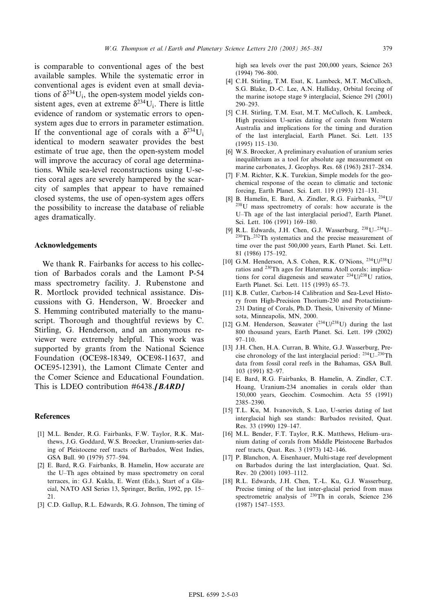<span id="page-14-0"></span>is comparable to conventional ages of the best available samples. While the systematic error in conventional ages is evident even at small deviations of  $\delta^{234}$ U<sub>i</sub>, the open-system model yields consistent ages, even at extreme  $\delta^{234}$ U<sub>i</sub>. There is little evidence of random or systematic errors to opensystem ages due to errors in parameter estimation. If the conventional age of corals with a  $\delta^{234}U_i$ identical to modern seawater provides the best estimate of true age, then the open-system model will improve the accuracy of coral age determinations. While sea-level reconstructions using U-series coral ages are severely hampered by the scarcity of samples that appear to have remained closed systems, the use of open-system ages offers the possibility to increase the database of reliable ages dramatically.

# Acknowledgements

We thank R. Fairbanks for access to his collection of Barbados corals and the Lamont P-54 mass spectrometry facility. J. Rubenstone and R. Mortlock provided technical assistance. Discussions with G. Henderson, W. Broecker and S. Hemming contributed materially to the manuscript. Thorough and thoughtful reviews by C. Stirling, G. Henderson, and an anonymous reviewer were extremely helpful. This work was supported by grants from the National Science Foundation (OCE98-18349, OCE98-11637, and OCE95-12391), the Lamont Climate Center and the Comer Science and Educational Foundation. This is LDEO contribution  $\#6438$ .[BARD]

#### **References**

- [1] M.L. Bender, R.G. Fairbanks, F.W. Taylor, R.K. Matthews, J.G. Goddard, W.S. Broecker, Uranium-series dating of Pleistocene reef tracts of Barbados, West Indies, GSA Bull. 90 (1979) 577-594.
- [2] E. Bard, R.G. Fairbanks, B. Hamelin, How accurate are the U^Th ages obtained by mass spectrometry on coral terraces, in: G.J. Kukla, E. Went (Eds.), Start of a Glacial, NATO ASI Series 13, Springer, Berlin, 1992, pp. 15^ 21.
- [3] C.D. Gallup, R.L. Edwards, R.G. Johnson, The timing of

high sea levels over the past 200,000 years, Science 263 (1994) 796-800.

- [4] C.H. Stirling, T.M. Esat, K. Lambeck, M.T. McCulloch, S.G. Blake, D.-C. Lee, A.N. Halliday, Orbital forcing of the marine isotope stage 9 interglacial, Science 291 (2001) 290^293.
- [5] C.H. Stirling, T.M. Esat, M.T. McCulloch, K. Lambeck, High precision U-series dating of corals from Western Australia and implications for the timing and duration of the last interglacial, Earth Planet. Sci. Lett. 135 (1995) 115^130.
- [6] W.S. Broecker, A preliminary evaluation of uranium series inequilibrium as a tool for absolute age measurement on marine carbonates, J. Geophys. Res. 68 (1963) 2817-2834.
- [7] F.M. Richter, K.K. Turekian, Simple models for the geochemical response of the ocean to climatic and tectonic forcing, Earth Planet. Sci. Lett. 119 (1993) 121^131.
- [8] B. Hamelin, E. Bard, A. Zindler, R.G. Fairbanks, 234U/ 238U mass spectrometry of corals: how accurate is the U-Th age of the last interglacial period?, Earth Planet. Sci. Lett. 106 (1991) 169-180.
- [9] R.L. Edwards, J.H. Chen, G.J. Wasserburg,  $^{238}U-^{234}U 230\text{Th}$ <sup>232</sup>Th systematics and the precise measurement of time over the past 500,000 years, Earth Planet. Sci. Lett. 81 (1986) 175^192.
- [10] G.M. Henderson, A.S. Cohen, R.K. O'Nions, 234U/238U ratios and 230Th ages for Hateruma Atoll corals: implications for coral diagenesis and seawater 234U/238U ratios, Earth Planet. Sci. Lett. 115 (1993) 65^73.
- [11] K.B. Cutler, Carbon-14 Calibration and Sea-Level History from High-Precision Thorium-230 and Protactinium-231 Dating of Corals, Ph.D. Thesis, University of Minnesota, Minneapolis, MN, 2000.
- [12] G.M. Henderson, Seawater  $(^{234}U/^{238}U)$  during the last 800 thousand years, Earth Planet. Sci. Lett. 199 (2002) 97^110.
- [13] J.H. Chen, H.A. Curran, B. White, G.J. Wasserburg, Precise chronology of the last interglacial period: 234U^230Th data from fossil coral reefs in the Bahamas, GSA Bull. 103 (1991) 82^97.
- [14] E. Bard, R.G. Fairbanks, B. Hamelin, A. Zindler, C.T. Hoang, Uranium-234 anomalies in corals older than 150,000 years, Geochim. Cosmochim. Acta 55 (1991) 2385^2390.
- [15] T.L. Ku, M. Ivanovitch, S. Luo, U-series dating of last interglacial high sea stands: Barbados revisited, Quat. Res. 33 (1990) 129^147.
- [16] M.L. Bender, F.T. Taylor, R.K. Matthews, Helium-uranium dating of corals from Middle Pleistocene Barbados reef tracts, Quat. Res. 3 (1973) 142^146.
- [17] P. Blanchon, A. Eisenhauer, Multi-stage reef development on Barbados during the last interglaciation, Quat. Sci. Rev. 20 (2001) 1093^1112.
- [18] R.L. Edwards, J.H. Chen, T.-L. Ku, G.J. Wasserburg, Precise timing of the last inter-glacial period from mass spectrometric analysis of <sup>230</sup>Th in corals, Science 236 (1987) 1547^1553.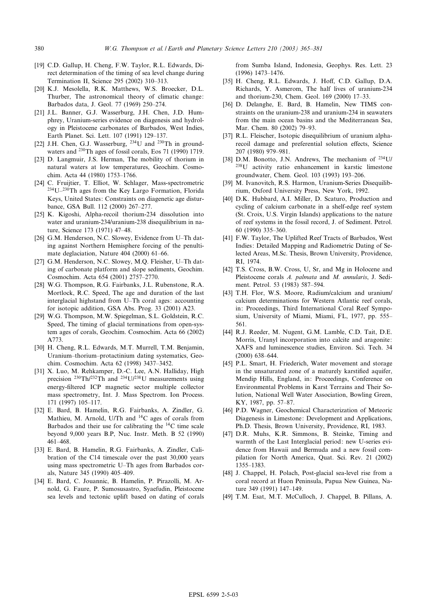- <span id="page-15-0"></span>[19] C.D. Gallup, H. Cheng, F.W. Taylor, R.L. Edwards, Direct determination of the timing of sea level change during Termination II, Science 295 (2002) 310^313.
- [20] K.J. Mesolella, R.K. Matthews, W.S. Broecker, D.L. Thurber, The astronomical theory of climatic change: Barbados data, J. Geol. 77 (1969) 250^274.
- [21] J.L. Banner, G.J. Wasserburg, J.H. Chen, J.D. Humphrey, Uranium-series evidence on diagenesis and hydrology in Pleistocene carbonates of Barbados, West Indies, Earth Planet. Sci. Lett. 107 (1991) 129-137.
- [22] J.H. Chen, G.J. Wasserburg,  $^{234}$ U and  $^{230}$ Th in groundwaters and 230Th ages of fossil corals, Eos 71 (1990) 1719.
- [23] D. Langmuir, J.S. Herman, The mobility of thorium in natural waters at low temperatures, Geochim. Cosmochim. Acta 44 (1980) 1753^1766.
- [24] C. Fruijtier, T. Elliot, W. Schlager, Mass-spectrometric  $234$ U $-230$ Th ages from the Key Largo Formation, Florida Keys, United States: Constraints on diagenetic age disturbance, GSA Bull. 112 (2000) 267-277.
- [25] K. Kigoshi, Alpha-recoil thorium-234 dissolution into water and uranium-234/uranium-238 disequilibrium in nature, Science 173 (1971) 47-48.
- [26] G.M. Henderson, N.C. Slowey, Evidence from U-Th dating against Northern Hemisphere forcing of the penultimate deglaciation, Nature 404 (2000) 61-66.
- [27] G.M. Henderson, N.C. Slowey, M.Q. Fleisher, U-Th dating of carbonate platform and slope sediments, Geochim. Cosmochim. Acta 654 (2001) 2757^2770.
- [28] W.G. Thompson, R.G. Fairbanks, J.L. Rubenstone, R.A. Mortlock, R.C. Speed, The age and duration of the last interglacial highstand from U-Th coral ages: accounting for isotopic addition, GSA Abs. Prog. 33 (2001) A23.
- [29] W.G. Thompson, M.W. Spiegelman, S.L. Goldstein, R.C. Speed, The timing of glacial terminations from open-system ages of corals, Geochim. Cosmochim. Acta 66 (2002) A773.
- [30] H. Cheng, R.L. Edwards, M.T. Murrell, T.M. Benjamin, Uranium-thorium-protactinium dating systematics, Geochim. Cosmochim. Acta 62 (1998) 3437^3452.
- [31] X. Luo, M. Rehkamper, D.-C. Lee, A.N. Halliday, High precision  $^{230}Th/^{232}Th$  and  $^{234}U/^{238}U$  measurements using energy-¢ltered ICP magnetic sector multiple collector mass spectrometry, Int. J. Mass Spectrom. Ion Process. 171 (1997) 105^117.
- [32] E. Bard, B. Hamelin, R.G. Fairbanks, A. Zindler, G. Mathieu, M. Arnold, U/Th and  $^{14}$ C ages of corals from Barbados and their use for calibrating the  $^{14}$ C time scale beyond 9,000 years B.P, Nuc. Instr. Meth. B 52 (1990) 461^468.
- [33] E. Bard, B. Hamelin, R.G. Fairbanks, A. Zindler, Calibration of the C14 timescale over the past 30,000 years using mass spectrometric U^Th ages from Barbados corals, Nature 345 (1990) 405^409.
- [34] E. Bard, C. Jouannic, B. Hamelin, P. Pirazolli, M. Arnold, G. Faure, P. Sumosusastro, Syaefudin, Pleistocene sea levels and tectonic uplift based on dating of corals

from Sumba Island, Indonesia, Geophys. Res. Lett. 23 (1996) 1473^1476.

- [35] H. Cheng, R.L. Edwards, J. Hoff, C.D. Gallup, D.A. Richards, Y. Asmerom, The half lives of uranium-234 and thorium-230, Chem. Geol. 169 (2000) 17^33.
- [36] D. Delanghe, E. Bard, B. Hamelin, New TIMS constraints on the uranium-238 and uranium-234 in seawaters from the main ocean basins and the Mediterranean Sea, Mar. Chem. 80 (2002) 79-93.
- [37] R.L. Fleischer, Isotopic disequilibrium of uranium alpharecoil damage and preferential solution effects, Science 207 (1980) 979^981.
- [38] D.M. Bonotto, J.N. Andrews, The mechanism of 234U/ 238U activity ratio enhancement in karstic limestone groundwater, Chem. Geol. 103 (1993) 193^206.
- [39] M. Ivanovitch, R.S. Harmon, Uranium-Series Disequilibrium, Oxford University Press, New York, 1992.
- [40] D.K. Hubbard, A.I. Miller, D. Scaturo, Production and cycling of calcium carbonate in a shelf-edge reef system (St. Croix, U.S. Virgin Islands) applications to the nature of reef systems in the fossil record, J. of Sediment. Petrol. 60 (1990) 335^360.
- [41] F.W. Taylor, The Uplifted Reef Tracts of Barbados, West Indies: Detailed Mapping and Radiometric Dating of Selected Areas, M.Sc. Thesis, Brown University, Providence, RI, 1974.
- [42] T.S. Cross, B.W. Cross, U, Sr, and Mg in Holocene and Pleistocene corals A. palmata and M. annularis, J. Sediment. Petrol. 53 (1983) 587-594.
- [43] T.H. Flor, W.S. Moore, Radium/calcium and uranium/ calcium determinations for Western Atlantic reef corals, in: Proceedings, Third International Coral Reef Symposium, University of Miami, Miami, FL, 1977, pp. 555^ 561.
- [44] R.J. Reeder, M. Nugent, G.M. Lamble, C.D. Tait, D.E. Morris, Uranyl incorporation into calcite and aragonite: XAFS and luminescence studies, Environ. Sci. Tech. 34  $(2000)$  638-644.
- [45] P.L. Smart, H. Friederich, Water movement and storage in the unsaturated zone of a maturely karstified aquifer, Mendip Hills, England, in: Proceedings, Conference on Environmental Problems in Karst Terrains and Their Solution, National Well Water Association, Bowling Green, KY, 1987, pp. 57-87.
- [46] P.D. Wagner, Geochemical Characterization of Meteoric Diagenesis in Limestone: Development and Applications, Ph.D. Thesis, Brown University, Providence, RI, 1983.
- [47] D.R. Muhs, K.R. Simmons, B. Steinke, Timing and warmth of the Last Interglacial period: new U-series evidence from Hawaii and Bermuda and a new fossil compilation for North America, Quat. Sci. Rev. 21 (2002) 1355^1383.
- [48] J. Chappel, H. Polach, Post-glacial sea-level rise from a coral record at Huon Peninsula, Papua New Guinea, Nature 349 (1991) 147-149.
- [49] T.M. Esat, M.T. McCulloch, J. Chappel, B. Pillans, A.